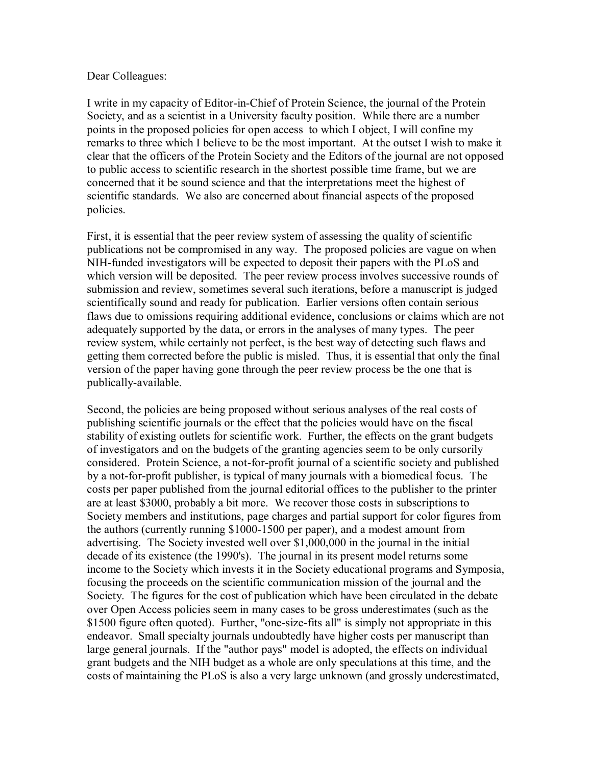## Dear Colleagues:

I write in my capacity of Editor-in-Chief of Protein Science, the journal of the Protein Society, and as a scientist in a University faculty position. While there are a number points in the proposed policies for open access to which I object, I will confine my remarks to three which I believe to be the most important. At the outset I wish to make it clear that the officers of the Protein Society and the Editors of the journal are not opposed to public access to scientific research in the shortest possible time frame, but we are concerned that it be sound science and that the interpretations meet the highest of scientific standards. We also are concerned about financial aspects of the proposed policies.

First, it is essential that the peer review system of assessing the quality of scientific publications not be compromised in any way. The proposed policies are vague on when NIH-funded investigators will be expected to deposit their papers with the PLoS and which version will be deposited. The peer review process involves successive rounds of submission and review, sometimes several such iterations, before a manuscript is judged scientifically sound and ready for publication. Earlier versions often contain serious flaws due to omissions requiring additional evidence, conclusions or claims which are not adequately supported by the data, or errors in the analyses of many types. The peer review system, while certainly not perfect, is the best way of detecting such flaws and getting them corrected before the public is misled. Thus, it is essential that only the final version of the paper having gone through the peer review process be the one that is publically-available.

Second, the policies are being proposed without serious analyses of the real costs of publishing scientific journals or the effect that the policies would have on the fiscal stability of existing outlets for scientific work. Further, the effects on the grant budgets of investigators and on the budgets of the granting agencies seem to be only cursorily considered. Protein Science, a not-for-profit journal of a scientific society and published by a not-for-profit publisher, is typical of many journals with a biomedical focus. The costs per paper published from the journal editorial offices to the publisher to the printer are at least \$3000, probably a bit more. We recover those costs in subscriptions to Society members and institutions, page charges and partial support for color figures from the authors (currently running \$1000-1500 per paper), and a modest amount from advertising. The Society invested well over \$1,000,000 in the journal in the initial decade of its existence (the 1990's). The journal in its present model returns some income to the Society which invests it in the Society educational programs and Symposia, focusing the proceeds on the scientific communication mission of the journal and the Society. The figures for the cost of publication which have been circulated in the debate over Open Access policies seem in many cases to be gross underestimates (such as the \$1500 figure often quoted). Further, "one-size-fits all" is simply not appropriate in this endeavor. Small specialty journals undoubtedly have higher costs per manuscript than large general journals. If the "author pays" model is adopted, the effects on individual grant budgets and the NIH budget as a whole are only speculations at this time, and the costs of maintaining the PLoS is also a very large unknown (and grossly underestimated,